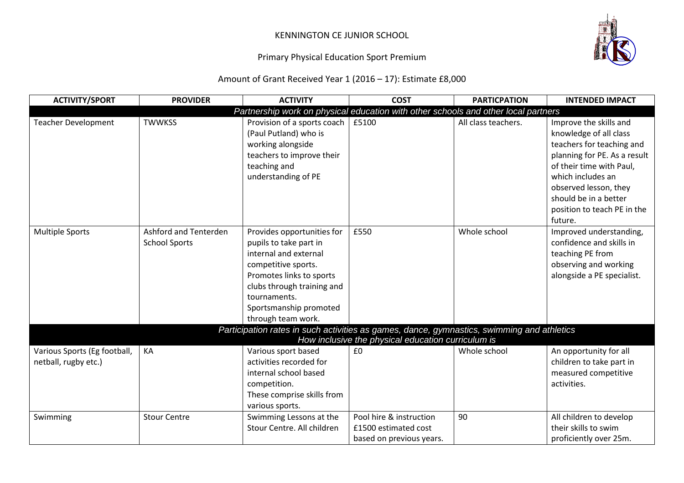## KENNINGTON CE JUNIOR SCHOOL

## Primary Physical Education Sport Premium

Amount of Grant Received Year 1 (2016 – 17): Estimate £8,000

| <b>ACTIVITY/SPORT</b>                                | <b>PROVIDER</b>                               | <b>ACTIVITY</b>                                                                                                                                                                                                                | <b>COST</b>                                                                 | <b>PARTICPATION</b> | <b>INTENDED IMPACT</b>                                                                                                                                                                                                                                     |
|------------------------------------------------------|-----------------------------------------------|--------------------------------------------------------------------------------------------------------------------------------------------------------------------------------------------------------------------------------|-----------------------------------------------------------------------------|---------------------|------------------------------------------------------------------------------------------------------------------------------------------------------------------------------------------------------------------------------------------------------------|
|                                                      |                                               | Partnership work on physical education with other schools and other local partners                                                                                                                                             |                                                                             |                     |                                                                                                                                                                                                                                                            |
| <b>Teacher Development</b>                           | <b>TWWKSS</b>                                 | Provision of a sports coach<br>(Paul Putland) who is<br>working alongside<br>teachers to improve their<br>teaching and<br>understanding of PE                                                                                  | £5100                                                                       | All class teachers. | Improve the skills and<br>knowledge of all class<br>teachers for teaching and<br>planning for PE. As a result<br>of their time with Paul,<br>which includes an<br>observed lesson, they<br>should be in a better<br>position to teach PE in the<br>future. |
| <b>Multiple Sports</b>                               | Ashford and Tenterden<br><b>School Sports</b> | Provides opportunities for<br>pupils to take part in<br>internal and external<br>competitive sports.<br>Promotes links to sports<br>clubs through training and<br>tournaments.<br>Sportsmanship promoted<br>through team work. | £550                                                                        | Whole school        | Improved understanding,<br>confidence and skills in<br>teaching PE from<br>observing and working<br>alongside a PE specialist.                                                                                                                             |
|                                                      |                                               | Participation rates in such activities as games, dance, gymnastics, swimming and athletics                                                                                                                                     |                                                                             |                     |                                                                                                                                                                                                                                                            |
| Various Sports (Eg football,<br>netball, rugby etc.) | KA                                            | Various sport based<br>activities recorded for<br>internal school based<br>competition.<br>These comprise skills from<br>various sports.                                                                                       | How inclusive the physical education curriculum is<br>£0                    | Whole school        | An opportunity for all<br>children to take part in<br>measured competitive<br>activities.                                                                                                                                                                  |
| Swimming                                             | <b>Stour Centre</b>                           | Swimming Lessons at the<br>Stour Centre, All children                                                                                                                                                                          | Pool hire & instruction<br>£1500 estimated cost<br>based on previous years. | 90                  | All children to develop<br>their skills to swim<br>proficiently over 25m.                                                                                                                                                                                  |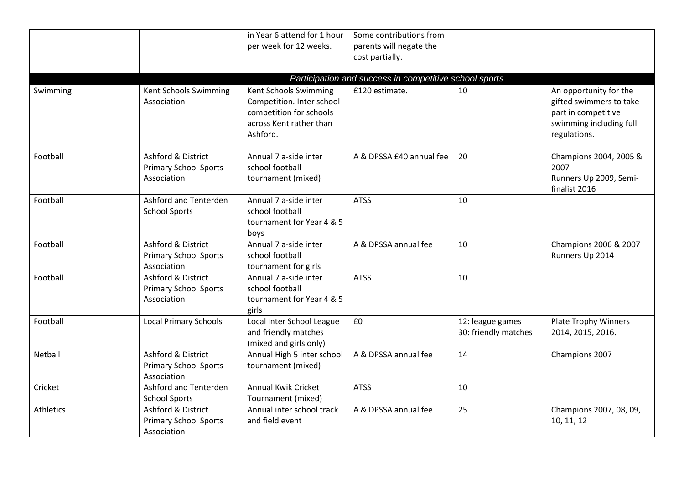|                  |                               | in Year 6 attend for 1 hour | Some contributions from                                |                      |                             |
|------------------|-------------------------------|-----------------------------|--------------------------------------------------------|----------------------|-----------------------------|
|                  |                               | per week for 12 weeks.      | parents will negate the                                |                      |                             |
|                  |                               |                             | cost partially.                                        |                      |                             |
|                  |                               |                             |                                                        |                      |                             |
|                  |                               |                             | Participation and success in competitive school sports |                      |                             |
| Swimming         | Kent Schools Swimming         | Kent Schools Swimming       | £120 estimate.                                         | 10                   | An opportunity for the      |
|                  | Association                   | Competition. Inter school   |                                                        |                      | gifted swimmers to take     |
|                  |                               | competition for schools     |                                                        |                      | part in competitive         |
|                  |                               | across Kent rather than     |                                                        |                      | swimming including full     |
|                  |                               | Ashford.                    |                                                        |                      | regulations.                |
| Football         | Ashford & District            | Annual 7 a-side inter       | A & DPSSA £40 annual fee                               | 20                   | Champions 2004, 2005 &      |
|                  | <b>Primary School Sports</b>  | school football             |                                                        |                      | 2007                        |
|                  | Association                   | tournament (mixed)          |                                                        |                      | Runners Up 2009, Semi-      |
|                  |                               |                             |                                                        |                      | finalist 2016               |
| Football         | Ashford and Tenterden         | Annual 7 a-side inter       | <b>ATSS</b>                                            | 10                   |                             |
|                  | <b>School Sports</b>          | school football             |                                                        |                      |                             |
|                  |                               | tournament for Year 4 & 5   |                                                        |                      |                             |
|                  |                               | boys                        |                                                        |                      |                             |
| Football         | Ashford & District            | Annual 7 a-side inter       | A & DPSSA annual fee                                   | 10                   | Champions 2006 & 2007       |
|                  | <b>Primary School Sports</b>  | school football             |                                                        |                      | Runners Up 2014             |
|                  | Association                   | tournament for girls        |                                                        |                      |                             |
| Football         | Ashford & District            | Annual 7 a-side inter       | <b>ATSS</b>                                            | 10                   |                             |
|                  | <b>Primary School Sports</b>  | school football             |                                                        |                      |                             |
|                  | Association                   | tournament for Year 4 & 5   |                                                        |                      |                             |
|                  |                               | girls                       |                                                        |                      |                             |
| Football         | <b>Local Primary Schools</b>  | Local Inter School League   | £0                                                     | 12: league games     | <b>Plate Trophy Winners</b> |
|                  |                               | and friendly matches        |                                                        | 30: friendly matches | 2014, 2015, 2016.           |
|                  |                               | (mixed and girls only)      |                                                        |                      |                             |
| Netball          | Ashford & District            | Annual High 5 inter school  | A & DPSSA annual fee                                   | 14                   | Champions 2007              |
|                  | <b>Primary School Sports</b>  | tournament (mixed)          |                                                        |                      |                             |
|                  | Association                   |                             |                                                        |                      |                             |
| Cricket          | Ashford and Tenterden         | <b>Annual Kwik Cricket</b>  | <b>ATSS</b>                                            | 10                   |                             |
|                  | <b>School Sports</b>          | Tournament (mixed)          |                                                        |                      |                             |
| <b>Athletics</b> | <b>Ashford &amp; District</b> | Annual inter school track   | A & DPSSA annual fee                                   | 25                   | Champions 2007, 08, 09,     |
|                  | <b>Primary School Sports</b>  | and field event             |                                                        |                      | 10, 11, 12                  |
|                  | Association                   |                             |                                                        |                      |                             |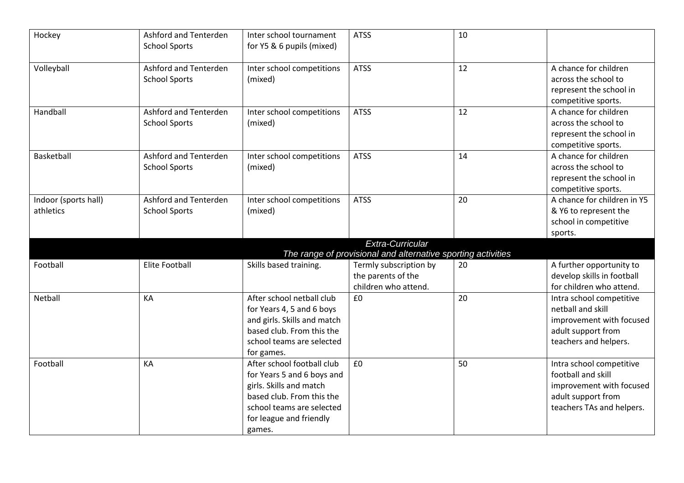| Hockey                            | Ashford and Tenterden<br><b>School Sports</b> | Inter school tournament<br>for Y5 & 6 pupils (mixed)                                                                                                                               | <b>ATSS</b>                                                                      | 10 |                                                                                                                               |
|-----------------------------------|-----------------------------------------------|------------------------------------------------------------------------------------------------------------------------------------------------------------------------------------|----------------------------------------------------------------------------------|----|-------------------------------------------------------------------------------------------------------------------------------|
| Volleyball                        | Ashford and Tenterden<br><b>School Sports</b> | Inter school competitions<br>(mixed)                                                                                                                                               | <b>ATSS</b>                                                                      | 12 | A chance for children<br>across the school to<br>represent the school in<br>competitive sports.                               |
| Handball                          | Ashford and Tenterden<br><b>School Sports</b> | Inter school competitions<br>(mixed)                                                                                                                                               | <b>ATSS</b>                                                                      | 12 | A chance for children<br>across the school to<br>represent the school in<br>competitive sports.                               |
| Basketball                        | Ashford and Tenterden<br><b>School Sports</b> | Inter school competitions<br>(mixed)                                                                                                                                               | <b>ATSS</b>                                                                      | 14 | A chance for children<br>across the school to<br>represent the school in<br>competitive sports.                               |
| Indoor (sports hall)<br>athletics | Ashford and Tenterden<br><b>School Sports</b> | Inter school competitions<br>(mixed)                                                                                                                                               | <b>ATSS</b>                                                                      | 20 | A chance for children in Y5<br>& Y6 to represent the<br>school in competitive<br>sports.                                      |
|                                   |                                               |                                                                                                                                                                                    | Extra-Curricular<br>The range of provisional and alternative sporting activities |    |                                                                                                                               |
| Football                          | <b>Elite Football</b>                         | Skills based training.                                                                                                                                                             | Termly subscription by<br>the parents of the<br>children who attend.             | 20 | A further opportunity to<br>develop skills in football<br>for children who attend.                                            |
| Netball                           | KA                                            | After school netball club<br>for Years 4, 5 and 6 boys<br>and girls. Skills and match<br>based club. From this the<br>school teams are selected<br>for games.                      | £0                                                                               | 20 | Intra school competitive<br>netball and skill<br>improvement with focused<br>adult support from<br>teachers and helpers.      |
| Football                          | KA                                            | After school football club<br>for Years 5 and 6 boys and<br>girls. Skills and match<br>based club. From this the<br>school teams are selected<br>for league and friendly<br>games. | £0                                                                               | 50 | Intra school competitive<br>football and skill<br>improvement with focused<br>adult support from<br>teachers TAs and helpers. |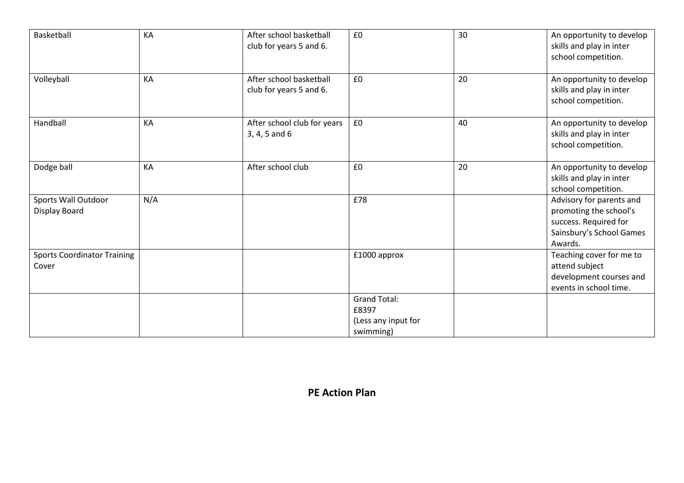| Basketball                                  | KA  | After school basketball<br>club for years 5 and 6. | £0                                                               | 30 | An opportunity to develop<br>skills and play in inter<br>school competition.                                       |
|---------------------------------------------|-----|----------------------------------------------------|------------------------------------------------------------------|----|--------------------------------------------------------------------------------------------------------------------|
| Volleyball                                  | KA  | After school basketball<br>club for years 5 and 6. | £0                                                               | 20 | An opportunity to develop<br>skills and play in inter<br>school competition.                                       |
| Handball                                    | KA  | After school club for years<br>$3, 4, 5$ and $6$   | £0                                                               | 40 | An opportunity to develop<br>skills and play in inter<br>school competition.                                       |
| Dodge ball                                  | KA  | After school club                                  | £0                                                               | 20 | An opportunity to develop<br>skills and play in inter<br>school competition.                                       |
| Sports Wall Outdoor<br>Display Board        | N/A |                                                    | £78                                                              |    | Advisory for parents and<br>promoting the school's<br>success. Required for<br>Sainsbury's School Games<br>Awards. |
| <b>Sports Coordinator Training</b><br>Cover |     |                                                    | £1000 approx                                                     |    | Teaching cover for me to<br>attend subject<br>development courses and<br>events in school time.                    |
|                                             |     |                                                    | <b>Grand Total:</b><br>£8397<br>(Less any input for<br>swimming) |    |                                                                                                                    |